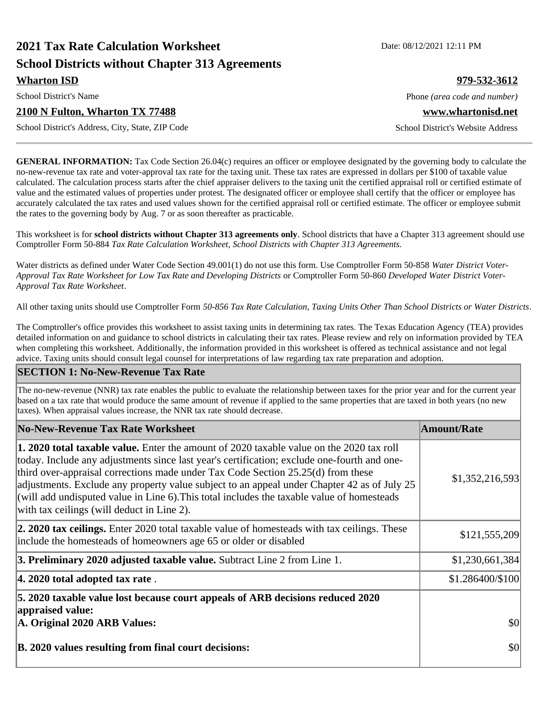# **2021 Tax Rate Calculation Worksheet Date: 08/12/2021 12:11 PM School Districts without Chapter 313 Agreements Wharton ISD 979-532-3612**

#### **2100 N Fulton, Wharton TX 77488 www.whartonisd.net**

School District's Address, City, State, ZIP Code School District's Website Address

**GENERAL INFORMATION:** Tax Code Section 26.04(c) requires an officer or employee designated by the governing body to calculate the no-new-revenue tax rate and voter-approval tax rate for the taxing unit. These tax rates are expressed in dollars per \$100 of taxable value calculated. The calculation process starts after the chief appraiser delivers to the taxing unit the certified appraisal roll or certified estimate of value and the estimated values of properties under protest. The designated officer or employee shall certify that the officer or employee has accurately calculated the tax rates and used values shown for the certified appraisal roll or certified estimate. The officer or employee submit the rates to the governing body by Aug. 7 or as soon thereafter as practicable.

This worksheet is for **school districts without Chapter 313 agreements only**. School districts that have a Chapter 313 agreement should use Comptroller Form 50-884 *Tax Rate Calculation Worksheet, School Districts with Chapter 313 Agreements.*

Water districts as defined under Water Code Section 49.001(1) do not use this form. Use Comptroller Form 50-858 *Water District Voter-Approval Tax Rate Worksheet for Low Tax Rate and Developing Districts* or Comptroller Form 50-860 *Developed Water District Voter-Approval Tax Rate Worksheet*.

All other taxing units should use Comptroller Form *50-856 Tax Rate Calculation, Taxing Units Other Than School Districts or Water Districts*.

The Comptroller's office provides this worksheet to assist taxing units in determining tax rates. The Texas Education Agency (TEA) provides detailed information on and guidance to school districts in calculating their tax rates. Please review and rely on information provided by TEA when completing this worksheet. Additionally, the information provided in this worksheet is offered as technical assistance and not legal advice. Taxing units should consult legal counsel for interpretations of law regarding tax rate preparation and adoption.

#### **SECTION 1: No-New-Revenue Tax Rate**

The no-new-revenue (NNR) tax rate enables the public to evaluate the relationship between taxes for the prior year and for the current year based on a tax rate that would produce the same amount of revenue if applied to the same properties that are taxed in both years (no new taxes). When appraisal values increase, the NNR tax rate should decrease.

| No-New-Revenue Tax Rate Worksheet                                                                                                                                                                                                                                                                                                                                                                                                                                                                                                     | <b>Amount/Rate</b> |
|---------------------------------------------------------------------------------------------------------------------------------------------------------------------------------------------------------------------------------------------------------------------------------------------------------------------------------------------------------------------------------------------------------------------------------------------------------------------------------------------------------------------------------------|--------------------|
| <b>1. 2020 total taxable value.</b> Enter the amount of 2020 taxable value on the 2020 tax roll<br>today. Include any adjustments since last year's certification; exclude one-fourth and one-<br>third over-appraisal corrections made under Tax Code Section 25.25(d) from these<br>adjustments. Exclude any property value subject to an appeal under Chapter 42 as of July 25<br>$\alpha$ will add undisputed value in Line 6). This total includes the taxable value of homesteads<br>with tax ceilings (will deduct in Line 2). | \$1,352,216,593    |
| 2. 2020 tax ceilings. Enter 2020 total taxable value of homesteads with tax ceilings. These<br>include the homesteads of homeowners age 65 or older or disabled                                                                                                                                                                                                                                                                                                                                                                       | \$121,555,209      |
| 3. Preliminary 2020 adjusted taxable value. Subtract Line 2 from Line 1.                                                                                                                                                                                                                                                                                                                                                                                                                                                              | \$1,230,661,384    |
| $ 4.2020$ total adopted tax rate.                                                                                                                                                                                                                                                                                                                                                                                                                                                                                                     | \$1.286400/\$100   |
| 5. 2020 taxable value lost because court appeals of ARB decisions reduced 2020<br>appraised value:<br>A. Original 2020 ARB Values:                                                                                                                                                                                                                                                                                                                                                                                                    | \$0                |
| B. 2020 values resulting from final court decisions:                                                                                                                                                                                                                                                                                                                                                                                                                                                                                  | \$0                |

School District's Name **Phone** *(area code and number)* Phone *(area code and number)*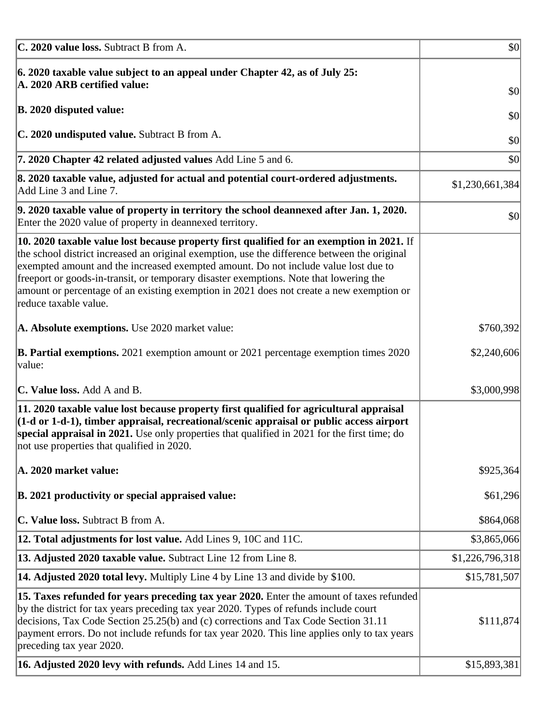| C. 2020 value loss. Subtract B from A.                                                                                                                                                                                                                                                                                                                                                                                                                                                                  | $\vert \mathbf{S} \mathbf{O} \vert$ |
|---------------------------------------------------------------------------------------------------------------------------------------------------------------------------------------------------------------------------------------------------------------------------------------------------------------------------------------------------------------------------------------------------------------------------------------------------------------------------------------------------------|-------------------------------------|
| $\vert$ 6. 2020 taxable value subject to an appeal under Chapter 42, as of July 25:<br>A. 2020 ARB certified value:                                                                                                                                                                                                                                                                                                                                                                                     | \$0                                 |
| B. 2020 disputed value:                                                                                                                                                                                                                                                                                                                                                                                                                                                                                 | \$0                                 |
| C. 2020 undisputed value. Subtract B from A.                                                                                                                                                                                                                                                                                                                                                                                                                                                            | \$0                                 |
| 7. 2020 Chapter 42 related adjusted values Add Line 5 and 6.                                                                                                                                                                                                                                                                                                                                                                                                                                            | \$0                                 |
| 8. 2020 taxable value, adjusted for actual and potential court-ordered adjustments.<br>Add Line 3 and Line 7.                                                                                                                                                                                                                                                                                                                                                                                           | \$1,230,661,384                     |
| 9. 2020 taxable value of property in territory the school deannexed after Jan. 1, 2020.<br>Enter the 2020 value of property in deannexed territory.                                                                                                                                                                                                                                                                                                                                                     | \$0                                 |
| $\vert$ 10. 2020 taxable value lost because property first qualified for an exemption in 2021. If<br>the school district increased an original exemption, use the difference between the original<br>exempted amount and the increased exempted amount. Do not include value lost due to<br>freeport or goods-in-transit, or temporary disaster exemptions. Note that lowering the<br>amount or percentage of an existing exemption in 2021 does not create a new exemption or<br>reduce taxable value. |                                     |
| A. Absolute exemptions. Use 2020 market value:                                                                                                                                                                                                                                                                                                                                                                                                                                                          | \$760,392                           |
| <b>B. Partial exemptions.</b> 2021 exemption amount or 2021 percentage exemption times 2020<br> value:                                                                                                                                                                                                                                                                                                                                                                                                  | \$2,240,606                         |
| C. Value loss. Add A and B.                                                                                                                                                                                                                                                                                                                                                                                                                                                                             | \$3,000,998                         |
| 11. 2020 taxable value lost because property first qualified for agricultural appraisal<br>$\left  \left( 1\textrm{-d} \, \textrm{or} \, 1\textrm{-d-1} \right) \right\rangle$ , timber appraisal, recreational/scenic appraisal or public access airport<br>special appraisal in 2021. Use only properties that qualified in 2021 for the first time; do<br>not use properties that qualified in 2020.                                                                                                 |                                     |
| A. 2020 market value:                                                                                                                                                                                                                                                                                                                                                                                                                                                                                   | \$925,364                           |
| B. 2021 productivity or special appraised value:                                                                                                                                                                                                                                                                                                                                                                                                                                                        | \$61,296                            |
| C. Value loss. Subtract B from A.                                                                                                                                                                                                                                                                                                                                                                                                                                                                       | \$864,068                           |
| 12. Total adjustments for lost value. Add Lines 9, 10C and 11C.                                                                                                                                                                                                                                                                                                                                                                                                                                         | \$3,865,066                         |
| 13. Adjusted 2020 taxable value. Subtract Line 12 from Line 8.                                                                                                                                                                                                                                                                                                                                                                                                                                          | \$1,226,796,318                     |
| <b>14. Adjusted 2020 total levy.</b> Multiply Line 4 by Line 13 and divide by \$100.                                                                                                                                                                                                                                                                                                                                                                                                                    | \$15,781,507                        |
| [15. Taxes refunded for years preceding tax year 2020. Enter the amount of taxes refunded<br>by the district for tax years preceding tax year 2020. Types of refunds include court<br>decisions, Tax Code Section 25.25(b) and (c) corrections and Tax Code Section 31.11<br>payment errors. Do not include refunds for tax year 2020. This line applies only to tax years<br>preceding tax year 2020.                                                                                                  | \$111,874                           |
| 16. Adjusted 2020 levy with refunds. Add Lines 14 and 15.                                                                                                                                                                                                                                                                                                                                                                                                                                               | \$15,893,381                        |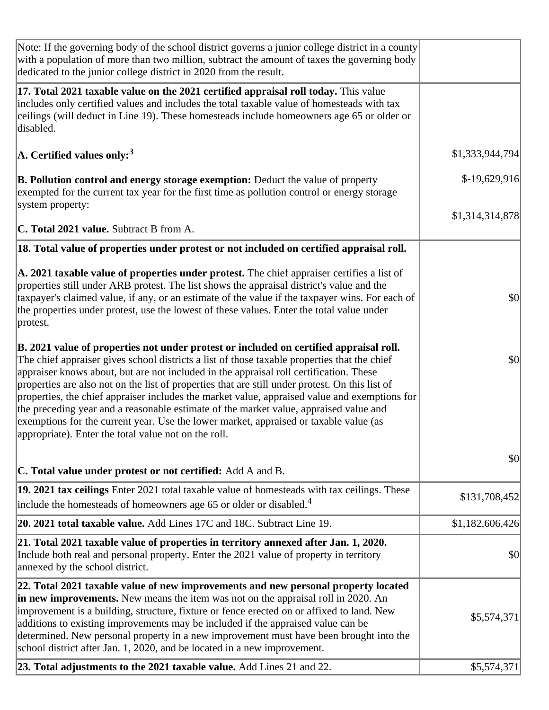| Note: If the governing body of the school district governs a junior college district in a county<br>with a population of more than two million, subtract the amount of taxes the governing body<br>dedicated to the junior college district in 2020 from the result.                                                                                                                                                                                                                                                                                                                                                                                                                                                           |                 |
|--------------------------------------------------------------------------------------------------------------------------------------------------------------------------------------------------------------------------------------------------------------------------------------------------------------------------------------------------------------------------------------------------------------------------------------------------------------------------------------------------------------------------------------------------------------------------------------------------------------------------------------------------------------------------------------------------------------------------------|-----------------|
| 17. Total 2021 taxable value on the 2021 certified appraisal roll today. This value<br>includes only certified values and includes the total taxable value of homesteads with tax<br>ceilings (will deduct in Line 19). These homesteads include homeowners age 65 or older or<br>disabled.                                                                                                                                                                                                                                                                                                                                                                                                                                    |                 |
| $\vert$ A. Certified values only: <sup>3</sup>                                                                                                                                                                                                                                                                                                                                                                                                                                                                                                                                                                                                                                                                                 | \$1,333,944,794 |
| <b>B. Pollution control and energy storage exemption:</b> Deduct the value of property<br>exempted for the current tax year for the first time as pollution control or energy storage                                                                                                                                                                                                                                                                                                                                                                                                                                                                                                                                          | $$-19,629,916$  |
| system property:<br>C. Total 2021 value. Subtract B from A.                                                                                                                                                                                                                                                                                                                                                                                                                                                                                                                                                                                                                                                                    | \$1,314,314,878 |
| 18. Total value of properties under protest or not included on certified appraisal roll.                                                                                                                                                                                                                                                                                                                                                                                                                                                                                                                                                                                                                                       |                 |
| A. 2021 taxable value of properties under protest. The chief appraiser certifies a list of<br>properties still under ARB protest. The list shows the appraisal district's value and the<br>taxpayer's claimed value, if any, or an estimate of the value if the taxpayer wins. For each of<br>the properties under protest, use the lowest of these values. Enter the total value under<br>protest.                                                                                                                                                                                                                                                                                                                            | \$0             |
| B. 2021 value of properties not under protest or included on certified appraisal roll.<br>The chief appraiser gives school districts a list of those taxable properties that the chief<br>appraiser knows about, but are not included in the appraisal roll certification. These<br>properties are also not on the list of properties that are still under protest. On this list of<br>properties, the chief appraiser includes the market value, appraised value and exemptions for<br>the preceding year and a reasonable estimate of the market value, appraised value and<br>exemptions for the current year. Use the lower market, appraised or taxable value (as<br>appropriate). Enter the total value not on the roll. | \$0             |
| C. Total value under protest or not certified: Add A and B.                                                                                                                                                                                                                                                                                                                                                                                                                                                                                                                                                                                                                                                                    | \$0             |
| 19. 2021 tax ceilings Enter 2021 total taxable value of homesteads with tax ceilings. These<br>include the homesteads of homeowners age 65 or older or disabled. <sup>4</sup>                                                                                                                                                                                                                                                                                                                                                                                                                                                                                                                                                  | \$131,708,452   |
| 20. 2021 total taxable value. Add Lines 17C and 18C. Subtract Line 19.                                                                                                                                                                                                                                                                                                                                                                                                                                                                                                                                                                                                                                                         | \$1,182,606,426 |
| 21. Total 2021 taxable value of properties in territory annexed after Jan. 1, 2020.<br>Include both real and personal property. Enter the 2021 value of property in territory<br>annexed by the school district.                                                                                                                                                                                                                                                                                                                                                                                                                                                                                                               | \$0             |
| 22. Total 2021 taxable value of new improvements and new personal property located<br>in new improvements. New means the item was not on the appraisal roll in 2020. An<br>improvement is a building, structure, fixture or fence erected on or affixed to land. New<br>additions to existing improvements may be included if the appraised value can be<br>determined. New personal property in a new improvement must have been brought into the<br>school district after Jan. 1, 2020, and be located in a new improvement.                                                                                                                                                                                                 | \$5,574,371     |
| 23. Total adjustments to the 2021 taxable value. Add Lines 21 and 22.                                                                                                                                                                                                                                                                                                                                                                                                                                                                                                                                                                                                                                                          | \$5,574,371     |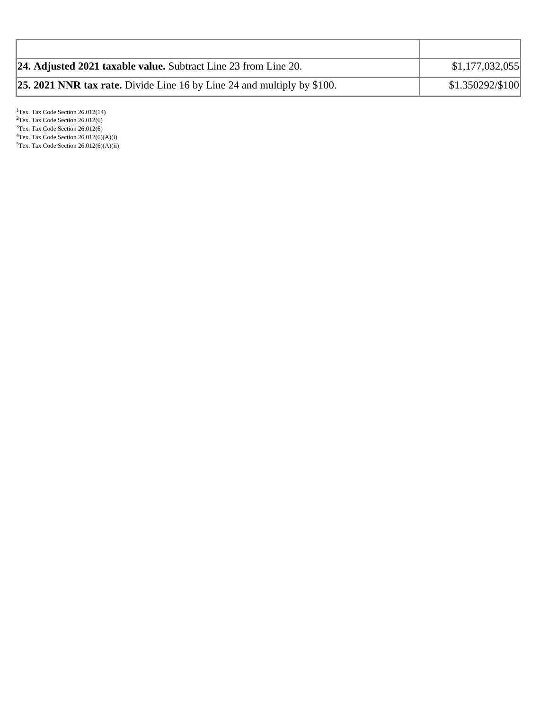| <b>24. Adjusted 2021 taxable value.</b> Subtract Line 23 from Line 20.         | \$1,177,032,055  |
|--------------------------------------------------------------------------------|------------------|
| <b>25. 2021 NNR tax rate.</b> Divide Line 16 by Line 24 and multiply by \$100. | \$1.350292/\$100 |

<sup>1</sup>Tex. Tax Code Section 26.012(14)  $2$ Tex. Tax Code Section 26.012(6) <sup>3</sup>Tex. Tax Code Section 26.012(6)  ${}^{4}$ Tex. Tax Code Section 26.012(6)(A)(i)  $5$ Tex. Tax Code Section 26.012(6)(A)(ii)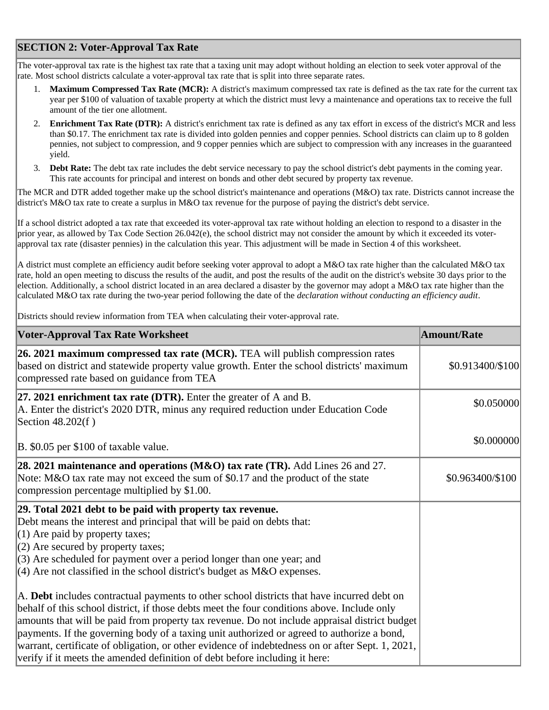# **SECTION 2: Voter-Approval Tax Rate**

The voter-approval tax rate is the highest tax rate that a taxing unit may adopt without holding an election to seek voter approval of the rate. Most school districts calculate a voter-approval tax rate that is split into three separate rates.

- 1. **Maximum Compressed Tax Rate (MCR):** A district's maximum compressed tax rate is defined as the tax rate for the current tax year per \$100 of valuation of taxable property at which the district must levy a maintenance and operations tax to receive the full amount of the tier one allotment.
- 2. **Enrichment Tax Rate (DTR):** A district's enrichment tax rate is defined as any tax effort in excess of the district's MCR and less than \$0.17. The enrichment tax rate is divided into golden pennies and copper pennies. School districts can claim up to 8 golden pennies, not subject to compression, and 9 copper pennies which are subject to compression with any increases in the guaranteed yield.
- 3. **Debt Rate:** The debt tax rate includes the debt service necessary to pay the school district's debt payments in the coming year. This rate accounts for principal and interest on bonds and other debt secured by property tax revenue.

The MCR and DTR added together make up the school district's maintenance and operations (M&O) tax rate. Districts cannot increase the district's M&O tax rate to create a surplus in M&O tax revenue for the purpose of paying the district's debt service.

If a school district adopted a tax rate that exceeded its voter-approval tax rate without holding an election to respond to a disaster in the prior year, as allowed by Tax Code Section 26.042(e), the school district may not consider the amount by which it exceeded its voterapproval tax rate (disaster pennies) in the calculation this year. This adjustment will be made in Section 4 of this worksheet.

A district must complete an efficiency audit before seeking voter approval to adopt a M&O tax rate higher than the calculated M&O tax rate, hold an open meeting to discuss the results of the audit, and post the results of the audit on the district's website 30 days prior to the election. Additionally, a school district located in an area declared a disaster by the governor may adopt a M&O tax rate higher than the calculated M&O tax rate during the two-year period following the date of the *declaration without conducting an efficiency audit*.

Districts should review information from TEA when calculating their voter-approval rate.

| <b>Voter-Approval Tax Rate Worksheet</b>                                                                                                                                                                                                                                                                                                                                                                                                                                                                                                                                    | <b>Amount/Rate</b> |
|-----------------------------------------------------------------------------------------------------------------------------------------------------------------------------------------------------------------------------------------------------------------------------------------------------------------------------------------------------------------------------------------------------------------------------------------------------------------------------------------------------------------------------------------------------------------------------|--------------------|
| 26. 2021 maximum compressed tax rate (MCR). TEA will publish compression rates<br>based on district and statewide property value growth. Enter the school districts' maximum<br>compressed rate based on guidance from TEA                                                                                                                                                                                                                                                                                                                                                  | \$0.913400/\$100   |
| 27. 2021 enrichment tax rate (DTR). Enter the greater of $A$ and $B$ .<br>A. Enter the district's 2020 DTR, minus any required reduction under Education Code<br>Section 48.202(f)                                                                                                                                                                                                                                                                                                                                                                                          | \$0.050000         |
| B. \$0.05 per \$100 of taxable value.                                                                                                                                                                                                                                                                                                                                                                                                                                                                                                                                       | \$0.000000         |
| 28. 2021 maintenance and operations (M&O) tax rate (TR). Add Lines 26 and 27.<br>Note: M&O tax rate may not exceed the sum of \$0.17 and the product of the state<br>compression percentage multiplied by \$1.00.                                                                                                                                                                                                                                                                                                                                                           | \$0.963400/\$100   |
| 29. Total 2021 debt to be paid with property tax revenue.<br>Debt means the interest and principal that will be paid on debts that:<br>$(1)$ Are paid by property taxes;<br>$(2)$ Are secured by property taxes;<br>$(3)$ Are scheduled for payment over a period longer than one year; and<br>$(4)$ Are not classified in the school district's budget as M&O expenses.                                                                                                                                                                                                    |                    |
| A. Debt includes contractual payments to other school districts that have incurred debt on<br>behalf of this school district, if those debts meet the four conditions above. Include only<br>amounts that will be paid from property tax revenue. Do not include appraisal district budget<br>payments. If the governing body of a taxing unit authorized or agreed to authorize a bond,<br>warrant, certificate of obligation, or other evidence of indebtedness on or after Sept. 1, 2021,<br>verify if it meets the amended definition of debt before including it here: |                    |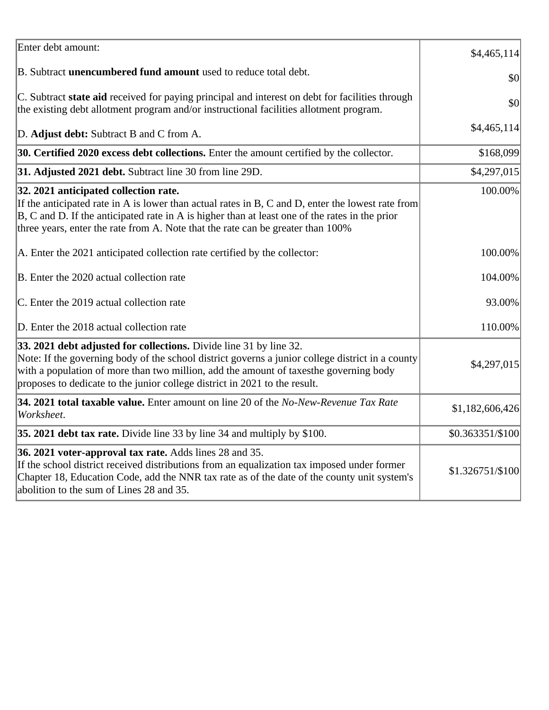| Enter debt amount:                                                                                                                                                                                                                                                                                                                            | \$4,465,114      |
|-----------------------------------------------------------------------------------------------------------------------------------------------------------------------------------------------------------------------------------------------------------------------------------------------------------------------------------------------|------------------|
| B. Subtract <b>unencumbered fund amount</b> used to reduce total debt.                                                                                                                                                                                                                                                                        | \$0              |
| C. Subtract state aid received for paying principal and interest on debt for facilities through<br>the existing debt allotment program and/or instructional facilities allotment program.                                                                                                                                                     | \$0              |
| D. Adjust debt: Subtract B and C from A.                                                                                                                                                                                                                                                                                                      | \$4,465,114      |
| 30. Certified 2020 excess debt collections. Enter the amount certified by the collector.                                                                                                                                                                                                                                                      | \$168,099        |
| 31. Adjusted 2021 debt. Subtract line 30 from line 29D.                                                                                                                                                                                                                                                                                       | \$4,297,015      |
| 32. 2021 anticipated collection rate.<br>If the anticipated rate in A is lower than actual rates in B, C and D, enter the lowest rate from<br>$ B, C$ and D. If the anticipated rate in A is higher than at least one of the rates in the prior<br>three years, enter the rate from A. Note that the rate can be greater than 100%            | 100.00%          |
| A. Enter the 2021 anticipated collection rate certified by the collector:                                                                                                                                                                                                                                                                     | 100.00%          |
| B. Enter the 2020 actual collection rate                                                                                                                                                                                                                                                                                                      | 104.00%          |
| C. Enter the 2019 actual collection rate                                                                                                                                                                                                                                                                                                      | 93.00%           |
| D. Enter the 2018 actual collection rate                                                                                                                                                                                                                                                                                                      | 110.00%          |
| 33. 2021 debt adjusted for collections. Divide line 31 by line 32.<br>Note: If the governing body of the school district governs a junior college district in a county<br>with a population of more than two million, add the amount of taxesthe governing body<br>proposes to dedicate to the junior college district in 2021 to the result. | \$4,297,015      |
| 34. 2021 total taxable value. Enter amount on line 20 of the No-New-Revenue Tax Rate<br>Worksheet.                                                                                                                                                                                                                                            | \$1,182,606,426  |
| 35. 2021 debt tax rate. Divide line 33 by line 34 and multiply by \$100.                                                                                                                                                                                                                                                                      | \$0.363351/\$100 |
| 36. 2021 voter-approval tax rate. Adds lines 28 and 35.<br>If the school district received distributions from an equalization tax imposed under former<br>Chapter 18, Education Code, add the NNR tax rate as of the date of the county unit system's<br>abolition to the sum of Lines 28 and 35.                                             | \$1.326751/\$100 |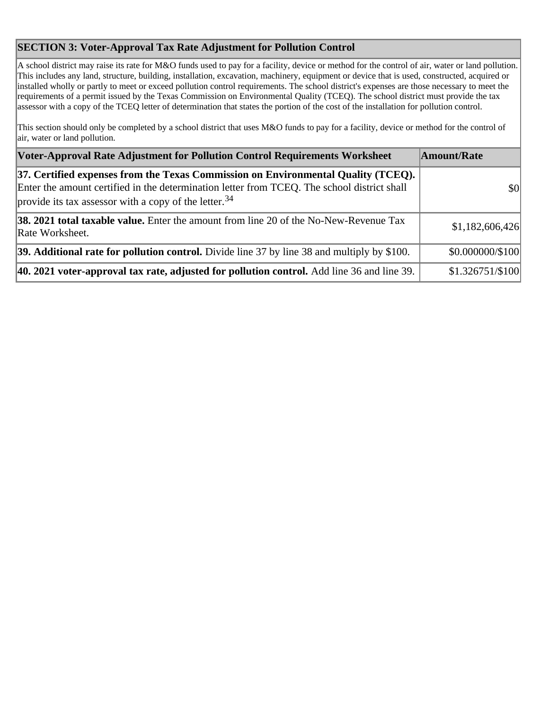# **SECTION 3: Voter-Approval Tax Rate Adjustment for Pollution Control**

A school district may raise its rate for M&O funds used to pay for a facility, device or method for the control of air, water or land pollution. This includes any land, structure, building, installation, excavation, machinery, equipment or device that is used, constructed, acquired or installed wholly or partly to meet or exceed pollution control requirements. The school district's expenses are those necessary to meet the requirements of a permit issued by the Texas Commission on Environmental Quality (TCEQ). The school district must provide the tax assessor with a copy of the TCEQ letter of determination that states the portion of the cost of the installation for pollution control.

This section should only be completed by a school district that uses M&O funds to pay for a facility, device or method for the control of air, water or land pollution.

| Voter-Approval Rate Adjustment for Pollution Control Requirements Worksheet                                                                                                                                                                            | Amount/Rate      |
|--------------------------------------------------------------------------------------------------------------------------------------------------------------------------------------------------------------------------------------------------------|------------------|
| [37. Certified expenses from the Texas Commission on Environmental Quality (TCEQ).<br>Enter the amount certified in the determination letter from TCEQ. The school district shall<br>provide its tax assessor with a copy of the letter. <sup>34</sup> | \$0              |
| <b>38. 2021 total taxable value.</b> Enter the amount from line 20 of the No-New-Revenue Tax<br>Rate Worksheet.                                                                                                                                        | \$1,182,606,426  |
| 39. Additional rate for pollution control. Divide line 37 by line 38 and multiply by \$100.                                                                                                                                                            | \$0.000000/\$100 |
| 40. 2021 voter-approval tax rate, adjusted for pollution control. Add line 36 and line 39.                                                                                                                                                             | \$1.326751/\$100 |